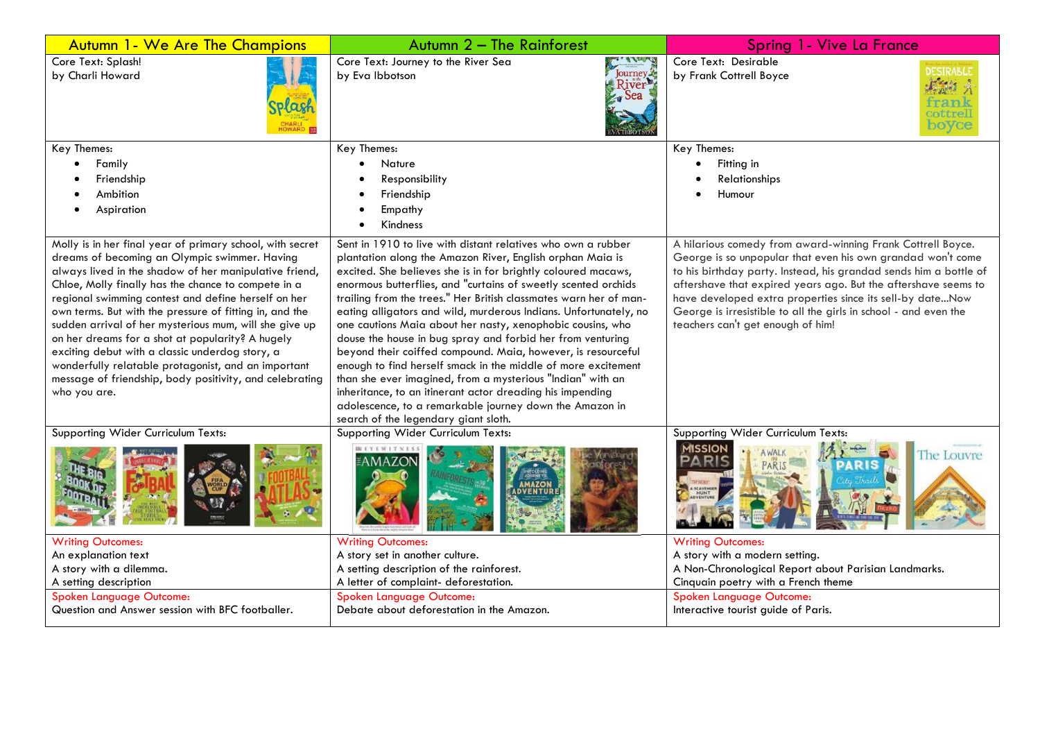| <b>Autumn 1- We Are The Champions</b>                                                                                                                                                                                                                                                                                                                                                                                                                                                                                                                                                                                                            | Autumn 2 - The Rainforest                                                                                                                                                                                                                                                                                                                                                                                                                                                                                                                                                                                                                                                                                                                                                                                                                                                                        | Spring 1 - Vive La France                                                                                                                                                                                                                                                                                                                                                                                                               |
|--------------------------------------------------------------------------------------------------------------------------------------------------------------------------------------------------------------------------------------------------------------------------------------------------------------------------------------------------------------------------------------------------------------------------------------------------------------------------------------------------------------------------------------------------------------------------------------------------------------------------------------------------|--------------------------------------------------------------------------------------------------------------------------------------------------------------------------------------------------------------------------------------------------------------------------------------------------------------------------------------------------------------------------------------------------------------------------------------------------------------------------------------------------------------------------------------------------------------------------------------------------------------------------------------------------------------------------------------------------------------------------------------------------------------------------------------------------------------------------------------------------------------------------------------------------|-----------------------------------------------------------------------------------------------------------------------------------------------------------------------------------------------------------------------------------------------------------------------------------------------------------------------------------------------------------------------------------------------------------------------------------------|
| Core Text: Splash!<br>by Charli Howard<br>HOWARD <b>B</b>                                                                                                                                                                                                                                                                                                                                                                                                                                                                                                                                                                                        | <b>KENT STANDS</b><br>Core Text: Journey to the River Sea<br>Journey<br>by Eva Ibbotson<br>River<br>$\sim$ Sea                                                                                                                                                                                                                                                                                                                                                                                                                                                                                                                                                                                                                                                                                                                                                                                   | Core Text: Desirable<br>by Frank Cottrell Boyce<br>boyce                                                                                                                                                                                                                                                                                                                                                                                |
| Key Themes:                                                                                                                                                                                                                                                                                                                                                                                                                                                                                                                                                                                                                                      | Key Themes:                                                                                                                                                                                                                                                                                                                                                                                                                                                                                                                                                                                                                                                                                                                                                                                                                                                                                      | Key Themes:                                                                                                                                                                                                                                                                                                                                                                                                                             |
| Family                                                                                                                                                                                                                                                                                                                                                                                                                                                                                                                                                                                                                                           | Nature<br>$\bullet$                                                                                                                                                                                                                                                                                                                                                                                                                                                                                                                                                                                                                                                                                                                                                                                                                                                                              | Fitting in<br>$\bullet$                                                                                                                                                                                                                                                                                                                                                                                                                 |
| Friendship<br>Ambition                                                                                                                                                                                                                                                                                                                                                                                                                                                                                                                                                                                                                           | Responsibility<br>Friendship                                                                                                                                                                                                                                                                                                                                                                                                                                                                                                                                                                                                                                                                                                                                                                                                                                                                     | Relationships<br>Humour                                                                                                                                                                                                                                                                                                                                                                                                                 |
|                                                                                                                                                                                                                                                                                                                                                                                                                                                                                                                                                                                                                                                  | Empathy                                                                                                                                                                                                                                                                                                                                                                                                                                                                                                                                                                                                                                                                                                                                                                                                                                                                                          |                                                                                                                                                                                                                                                                                                                                                                                                                                         |
| Aspiration                                                                                                                                                                                                                                                                                                                                                                                                                                                                                                                                                                                                                                       | Kindness                                                                                                                                                                                                                                                                                                                                                                                                                                                                                                                                                                                                                                                                                                                                                                                                                                                                                         |                                                                                                                                                                                                                                                                                                                                                                                                                                         |
|                                                                                                                                                                                                                                                                                                                                                                                                                                                                                                                                                                                                                                                  |                                                                                                                                                                                                                                                                                                                                                                                                                                                                                                                                                                                                                                                                                                                                                                                                                                                                                                  |                                                                                                                                                                                                                                                                                                                                                                                                                                         |
| Molly is in her final year of primary school, with secret<br>dreams of becoming an Olympic swimmer. Having<br>always lived in the shadow of her manipulative friend,<br>Chloe, Molly finally has the chance to compete in a<br>regional swimming contest and define herself on her<br>own terms. But with the pressure of fitting in, and the<br>sudden arrival of her mysterious mum, will she give up<br>on her dreams for a shot at popularity? A hugely<br>exciting debut with a classic underdog story, a<br>wonderfully relatable protagonist, and an important<br>message of friendship, body positivity, and celebrating<br>who you are. | Sent in 1910 to live with distant relatives who own a rubber<br>plantation along the Amazon River, English orphan Maia is<br>excited. She believes she is in for brightly coloured macaws,<br>enormous butterflies, and "curtains of sweetly scented orchids<br>trailing from the trees." Her British classmates warn her of man-<br>eating alligators and wild, murderous Indians. Unfortunately, no<br>one cautions Maia about her nasty, xenophobic cousins, who<br>douse the house in bug spray and forbid her from venturing<br>beyond their coiffed compound. Maia, however, is resourceful<br>enough to find herself smack in the middle of more excitement<br>than she ever imagined, from a mysterious "Indian" with an<br>inheritance, to an itinerant actor dreading his impending<br>adolescence, to a remarkable journey down the Amazon in<br>search of the legendary giant sloth. | A hilarious comedy from award-winning Frank Cottrell Boyce.<br>George is so unpopular that even his own grandad won't come<br>to his birthday party. Instead, his grandad sends him a bottle of<br>aftershave that expired years ago. But the aftershave seems to<br>have developed extra properties since its sell-by dateNow<br>George is irresistible to all the girls in school - and even the<br>teachers can't get enough of him! |
| Supporting Wider Curriculum Texts:                                                                                                                                                                                                                                                                                                                                                                                                                                                                                                                                                                                                               | Supporting Wider Curriculum Texts:                                                                                                                                                                                                                                                                                                                                                                                                                                                                                                                                                                                                                                                                                                                                                                                                                                                               | Supporting Wider Curriculum Texts:                                                                                                                                                                                                                                                                                                                                                                                                      |
|                                                                                                                                                                                                                                                                                                                                                                                                                                                                                                                                                                                                                                                  | <b>VENTIL</b>                                                                                                                                                                                                                                                                                                                                                                                                                                                                                                                                                                                                                                                                                                                                                                                                                                                                                    | 11 SSION<br>The Louvre<br>PARIS<br>PARIS                                                                                                                                                                                                                                                                                                                                                                                                |
| <b>Writing Outcomes:</b>                                                                                                                                                                                                                                                                                                                                                                                                                                                                                                                                                                                                                         | <b>Writing Outcomes:</b>                                                                                                                                                                                                                                                                                                                                                                                                                                                                                                                                                                                                                                                                                                                                                                                                                                                                         | <b>Writing Outcomes:</b>                                                                                                                                                                                                                                                                                                                                                                                                                |
| An explanation text                                                                                                                                                                                                                                                                                                                                                                                                                                                                                                                                                                                                                              | A story set in another culture.                                                                                                                                                                                                                                                                                                                                                                                                                                                                                                                                                                                                                                                                                                                                                                                                                                                                  | A story with a modern setting.                                                                                                                                                                                                                                                                                                                                                                                                          |
| A story with a dilemma.                                                                                                                                                                                                                                                                                                                                                                                                                                                                                                                                                                                                                          | A setting description of the rainforest.                                                                                                                                                                                                                                                                                                                                                                                                                                                                                                                                                                                                                                                                                                                                                                                                                                                         | A Non-Chronological Report about Parisian Landmarks.                                                                                                                                                                                                                                                                                                                                                                                    |
| A setting description<br>Spoken Language Outcome:                                                                                                                                                                                                                                                                                                                                                                                                                                                                                                                                                                                                | A letter of complaint- deforestation.<br>Spoken Language Outcome:                                                                                                                                                                                                                                                                                                                                                                                                                                                                                                                                                                                                                                                                                                                                                                                                                                | Cinquain poetry with a French theme<br>Spoken Language Outcome:                                                                                                                                                                                                                                                                                                                                                                         |
| Question and Answer session with BFC footballer.                                                                                                                                                                                                                                                                                                                                                                                                                                                                                                                                                                                                 | Debate about deforestation in the Amazon.                                                                                                                                                                                                                                                                                                                                                                                                                                                                                                                                                                                                                                                                                                                                                                                                                                                        | Interactive tourist guide of Paris.                                                                                                                                                                                                                                                                                                                                                                                                     |
|                                                                                                                                                                                                                                                                                                                                                                                                                                                                                                                                                                                                                                                  |                                                                                                                                                                                                                                                                                                                                                                                                                                                                                                                                                                                                                                                                                                                                                                                                                                                                                                  |                                                                                                                                                                                                                                                                                                                                                                                                                                         |